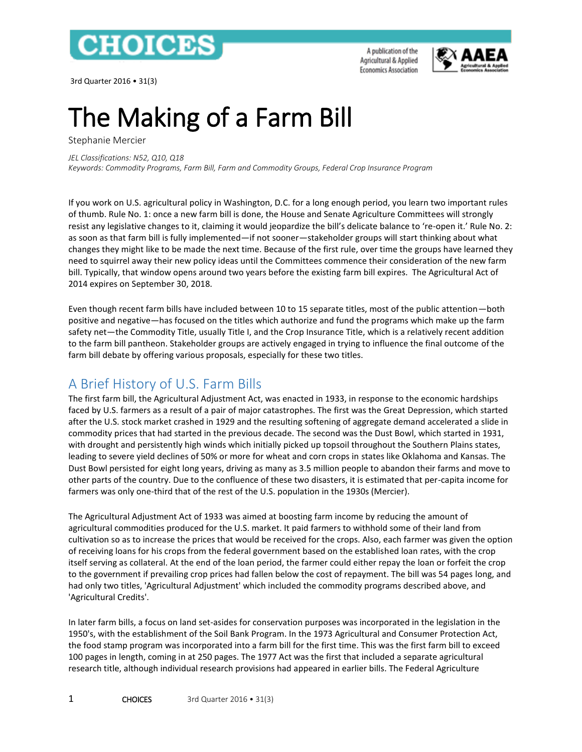

3rd Quarter 2016 • 31(3)

A publication of the Agricultural & Applied **Economics Association** 



# The Making of a Farm Bill

Stephanie Mercier

*JEL Classifications: N52, Q10, Q18 Keywords: Commodity Programs, Farm Bill, Farm and Commodity Groups, Federal Crop Insurance Program*

If you work on U.S. agricultural policy in Washington, D.C. for a long enough period, you learn two important rules of thumb. Rule No. 1: once a new farm bill is done, the House and Senate Agriculture Committees will strongly resist any legislative changes to it, claiming it would jeopardize the bill's delicate balance to 're-open it.' Rule No. 2: as soon as that farm bill is fully implemented—if not sooner—stakeholder groups will start thinking about what changes they might like to be made the next time. Because of the first rule, over time the groups have learned they need to squirrel away their new policy ideas until the Committees commence their consideration of the new farm bill. Typically, that window opens around two years before the existing farm bill expires. The Agricultural Act of 2014 expires on September 30, 2018.

Even though recent farm bills have included between 10 to 15 separate titles, most of the public attention—both positive and negative—has focused on the titles which authorize and fund the programs which make up the farm safety net—the Commodity Title, usually Title I, and the Crop Insurance Title, which is a relatively recent addition to the farm bill pantheon. Stakeholder groups are actively engaged in trying to influence the final outcome of the farm bill debate by offering various proposals, especially for these two titles.

# A Brief History of U.S. Farm Bills

The first farm bill, the Agricultural Adjustment Act, was enacted in 1933, in response to the economic hardships faced by U.S. farmers as a result of a pair of major catastrophes. The first was the Great Depression, which started after the U.S. stock market crashed in 1929 and the resulting softening of aggregate demand accelerated a slide in commodity prices that had started in the previous decade. The second was the Dust Bowl, which started in 1931, with drought and persistently high winds which initially picked up topsoil throughout the Southern Plains states, leading to severe yield declines of 50% or more for wheat and corn crops in states like Oklahoma and Kansas. The Dust Bowl persisted for eight long years, driving as many as 3.5 million people to abandon their farms and move to other parts of the country. Due to the confluence of these two disasters, it is estimated that per-capita income for farmers was only one-third that of the rest of the U.S. population in the 1930s (Mercier).

The Agricultural Adjustment Act of 1933 was aimed at boosting farm income by reducing the amount of agricultural commodities produced for the U.S. market. It paid farmers to withhold some of their land from cultivation so as to increase the prices that would be received for the crops. Also, each farmer was given the option of receiving loans for his crops from the federal government based on the established loan rates, with the crop itself serving as collateral. At the end of the loan period, the farmer could either repay the loan or forfeit the crop to the government if prevailing crop prices had fallen below the cost of repayment. The bill was 54 pages long, and had only two titles, 'Agricultural Adjustment' which included the commodity programs described above, and 'Agricultural Credits'.

In later farm bills, a focus on land set-asides for conservation purposes was incorporated in the legislation in the 1950's, with the establishment of the Soil Bank Program. In the 1973 Agricultural and Consumer Protection Act, the food stamp program was incorporated into a farm bill for the first time. This was the first farm bill to exceed 100 pages in length, coming in at 250 pages. The 1977 Act was the first that included a separate agricultural research title, although individual research provisions had appeared in earlier bills. The Federal Agriculture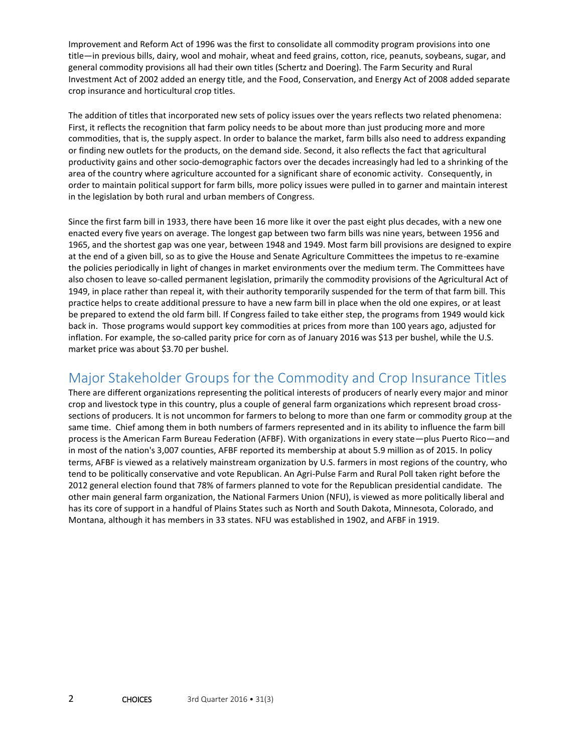Improvement and Reform Act of 1996 was the first to consolidate all commodity program provisions into one title—in previous bills, dairy, wool and mohair, wheat and feed grains, cotton, rice, peanuts, soybeans, sugar, and general commodity provisions all had their own titles (Schertz and Doering). The Farm Security and Rural Investment Act of 2002 added an energy title, and the Food, Conservation, and Energy Act of 2008 added separate crop insurance and horticultural crop titles.

The addition of titles that incorporated new sets of policy issues over the years reflects two related phenomena: First, it reflects the recognition that farm policy needs to be about more than just producing more and more commodities, that is, the supply aspect. In order to balance the market, farm bills also need to address expanding or finding new outlets for the products, on the demand side. Second, it also reflects the fact that agricultural productivity gains and other socio-demographic factors over the decades increasingly had led to a shrinking of the area of the country where agriculture accounted for a significant share of economic activity. Consequently, in order to maintain political support for farm bills, more policy issues were pulled in to garner and maintain interest in the legislation by both rural and urban members of Congress.

Since the first farm bill in 1933, there have been 16 more like it over the past eight plus decades, with a new one enacted every five years on average. The longest gap between two farm bills was nine years, between 1956 and 1965, and the shortest gap was one year, between 1948 and 1949. Most farm bill provisions are designed to expire at the end of a given bill, so as to give the House and Senate Agriculture Committees the impetus to re-examine the policies periodically in light of changes in market environments over the medium term. The Committees have also chosen to leave so-called permanent legislation, primarily the commodity provisions of the Agricultural Act of 1949, in place rather than repeal it, with their authority temporarily suspended for the term of that farm bill. This practice helps to create additional pressure to have a new farm bill in place when the old one expires, or at least be prepared to extend the old farm bill. If Congress failed to take either step, the programs from 1949 would kick back in. Those programs would support key commodities at prices from more than 100 years ago, adjusted for inflation. For example, the so-called parity price for corn as of January 2016 was \$13 per bushel, while the U.S. market price was about \$3.70 per bushel.

#### Major Stakeholder Groups for the Commodity and Crop Insurance Titles

There are different organizations representing the political interests of producers of nearly every major and minor crop and livestock type in this country, plus a couple of general farm organizations which represent broad crosssections of producers. It is not uncommon for farmers to belong to more than one farm or commodity group at the same time. Chief among them in both numbers of farmers represented and in its ability to influence the farm bill process is the American Farm Bureau Federation (AFBF). With organizations in every state—plus Puerto Rico—and in most of the nation's 3,007 counties, AFBF reported its membership at about 5.9 million as of 2015. In policy terms, AFBF is viewed as a relatively mainstream organization by U.S. farmers in most regions of the country, who tend to be politically conservative and vote Republican. An Agri-Pulse Farm and Rural Poll taken right before the 2012 general election found that 78% of farmers planned to vote for the Republican presidential candidate. The other main general farm organization, the National Farmers Union (NFU), is viewed as more politically liberal and has its core of support in a handful of Plains States such as North and South Dakota, Minnesota, Colorado, and Montana, although it has members in 33 states. NFU was established in 1902, and AFBF in 1919.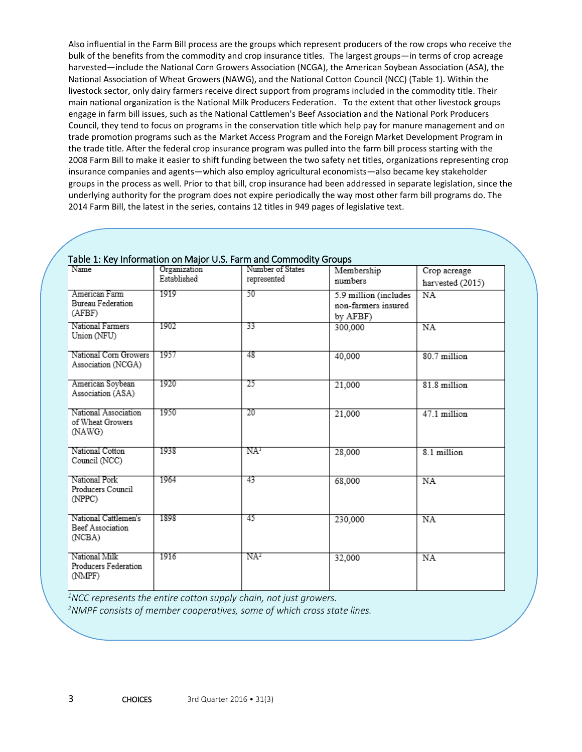Also influential in the Farm Bill process are the groups which represent producers of the row crops who receive the bulk of the benefits from the commodity and crop insurance titles. The largest groups—in terms of crop acreage harvested—include the National Corn Growers Association (NCGA), the American Soybean Association (ASA), the National Association of Wheat Growers (NAWG), and the National Cotton Council (NCC) (Table 1). Within the livestock sector, only dairy farmers receive direct support from programs included in the commodity title. Their main national organization is the National Milk Producers Federation. To the extent that other livestock groups engage in farm bill issues, such as the National Cattlemen's Beef Association and the National Pork Producers Council, they tend to focus on programs in the conservation title which help pay for manure management and on trade promotion programs such as the Market Access Program and the Foreign Market Development Program in the trade title. After the federal crop insurance program was pulled into the farm bill process starting with the 2008 Farm Bill to make it easier to shift funding between the two safety net titles, organizations representing crop insurance companies and agents—which also employ agricultural economists—also became key stakeholder groups in the process as well. Prior to that bill, crop insurance had been addressed in separate legislation, since the underlying authority for the program does not expire periodically the way most other farm bill programs do. The 2014 Farm Bill, the latest in the series, contains 12 titles in 949 pages of legislative text.

| Table 1: Ney information on Major 0.5. Farm and Commodity Groups<br>Number of States<br>Name |                             |                 |                       |                  |
|----------------------------------------------------------------------------------------------|-----------------------------|-----------------|-----------------------|------------------|
|                                                                                              | Organization<br>Established |                 | Membership            | Crop acreage     |
|                                                                                              |                             | represented     | numbers               | harvested (2015) |
| American Farm                                                                                | 1919                        | 50              | 5.9 million (includes | NA               |
| Bureau Federation                                                                            |                             |                 | non-farmers insured   |                  |
| (AFBF)                                                                                       |                             |                 | by AFBF)              |                  |
| National Farmers                                                                             | 1902                        | 33              | 300,000               | NA               |
| Union (NFU)                                                                                  |                             |                 |                       |                  |
| National Corn Growers                                                                        | 1957                        | 48              |                       |                  |
| Association (NCGA)                                                                           |                             |                 | 40,000                | 80.7 million     |
|                                                                                              |                             |                 |                       |                  |
| American Soybean                                                                             | 1920                        | 25              | 21,000                | 81.8 million     |
| Association (ASA)                                                                            |                             |                 |                       |                  |
|                                                                                              |                             |                 |                       |                  |
| National Association                                                                         | 1950                        | 20              | 21,000                | 47.1 million     |
| of Wheat Growers                                                                             |                             |                 |                       |                  |
| (NAWG)                                                                                       |                             |                 |                       |                  |
| National Cotton                                                                              | 1938                        | NA <sup>1</sup> | 28,000                | 8.1 million      |
| Council (NCC)                                                                                |                             |                 |                       |                  |
|                                                                                              |                             |                 |                       |                  |
| National Pork                                                                                | 1964                        | 43              | 68,000                | <b>NA</b>        |
| Producers Council                                                                            |                             |                 |                       |                  |
| (NPPC)                                                                                       |                             |                 |                       |                  |
|                                                                                              |                             |                 |                       |                  |
| National Cattlemen's<br>Beef Association                                                     | 1898                        | 45              | 230,000               | NA               |
| (NCBA)                                                                                       |                             |                 |                       |                  |
|                                                                                              |                             |                 |                       |                  |
| National Milk                                                                                | 1916                        | NA <sup>2</sup> | 32,000                | NA               |
| Producers Federation                                                                         |                             |                 |                       |                  |
| (NMPF)                                                                                       |                             |                 |                       |                  |
|                                                                                              |                             |                 |                       |                  |

#### [Table 1: Key Information on Major U.S. Farm and Commodity Groups](http://www.choicesmagazine.org/magazine/fig/Briggeman_1_full.jpg)

*<sup>1</sup>NCC represents the entire cotton supply chain, not just growers.*

*2NMPF consists of member cooperatives, some of which cross state lines.*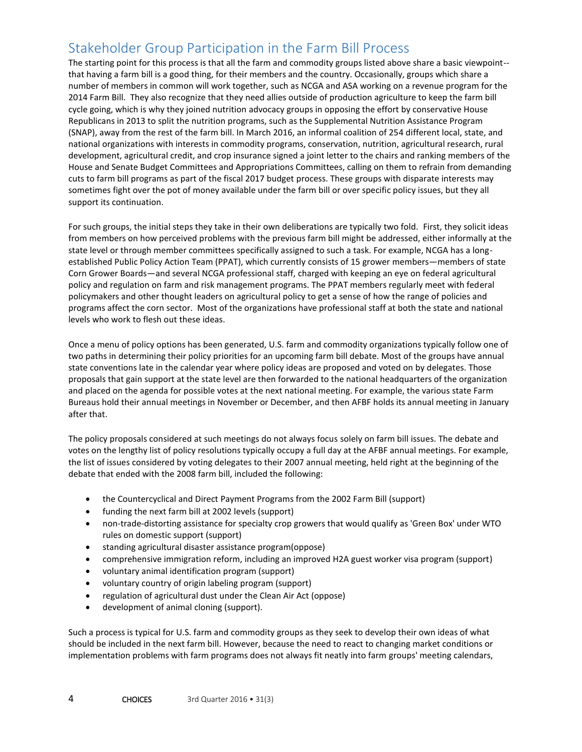# Stakeholder Group Participation in the Farm Bill Process

The starting point for this process is that all the farm and commodity groups listed above share a basic viewpoint- that having a farm bill is a good thing, for their members and the country. Occasionally, groups which share a number of members in common will work together, such as NCGA and ASA working on a revenue program for the 2014 Farm Bill. They also recognize that they need allies outside of production agriculture to keep the farm bill cycle going, which is why they joined nutrition advocacy groups in opposing the effort by conservative House Republicans in 2013 to split the nutrition programs, such as the Supplemental Nutrition Assistance Program (SNAP), away from the rest of the farm bill. In March 2016, an informal coalition of 254 different local, state, and national organizations with interests in commodity programs, conservation, nutrition, agricultural research, rural development, agricultural credit, and crop insurance signed a joint letter to the chairs and ranking members of the House and Senate Budget Committees and Appropriations Committees, calling on them to refrain from demanding cuts to farm bill programs as part of the fiscal 2017 budget process. These groups with disparate interests may sometimes fight over the pot of money available under the farm bill or over specific policy issues, but they all support its continuation.

For such groups, the initial steps they take in their own deliberations are typically two fold. First, they solicit ideas from members on how perceived problems with the previous farm bill might be addressed, either informally at the state level or through member committees specifically assigned to such a task. For example, NCGA has a longestablished Public Policy Action Team (PPAT), which currently consists of 15 grower members—members of state Corn Grower Boards—and several NCGA professional staff, charged with keeping an eye on federal agricultural policy and regulation on farm and risk management programs. The PPAT members regularly meet with federal policymakers and other thought leaders on agricultural policy to get a sense of how the range of policies and programs affect the corn sector. Most of the organizations have professional staff at both the state and national levels who work to flesh out these ideas.

Once a menu of policy options has been generated, U.S. farm and commodity organizations typically follow one of two paths in determining their policy priorities for an upcoming farm bill debate. Most of the groups have annual state conventions late in the calendar year where policy ideas are proposed and voted on by delegates. Those proposals that gain support at the state level are then forwarded to the national headquarters of the organization and placed on the agenda for possible votes at the next national meeting. For example, the various state Farm Bureaus hold their annual meetings in November or December, and then AFBF holds its annual meeting in January after that.

The policy proposals considered at such meetings do not always focus solely on farm bill issues. The debate and votes on the lengthy list of policy resolutions typically occupy a full day at the AFBF annual meetings. For example, the list of issues considered by voting delegates to their 2007 annual meeting, held right at the beginning of the debate that ended with the 2008 farm bill, included the following:

- the Countercyclical and Direct Payment Programs from the 2002 Farm Bill (support)
- funding the next farm bill at 2002 levels (support)
- non-trade-distorting assistance for specialty crop growers that would qualify as 'Green Box' under WTO rules on domestic support (support)
- standing agricultural disaster assistance program(oppose)
- comprehensive immigration reform, including an improved H2A guest worker visa program (support)
- voluntary animal identification program (support)
- voluntary country of origin labeling program (support)
- regulation of agricultural dust under the Clean Air Act (oppose)
- development of animal cloning (support).

Such a process is typical for U.S. farm and commodity groups as they seek to develop their own ideas of what should be included in the next farm bill. However, because the need to react to changing market conditions or implementation problems with farm programs does not always fit neatly into farm groups' meeting calendars,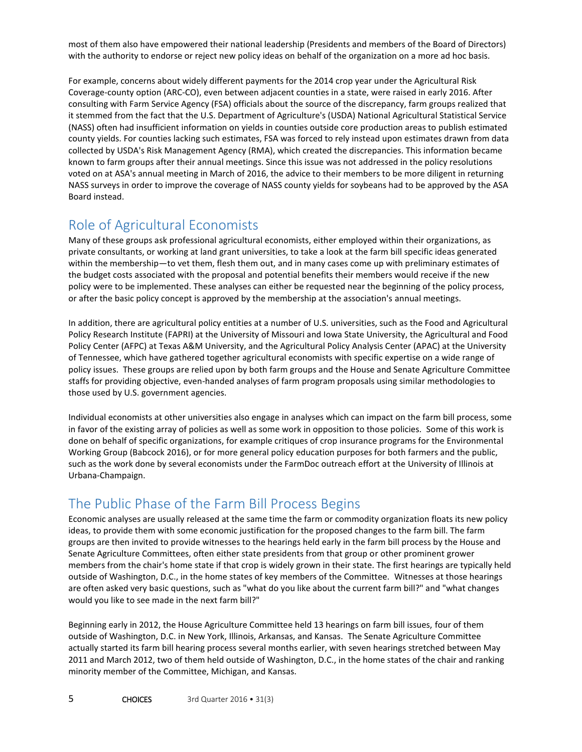most of them also have empowered their national leadership (Presidents and members of the Board of Directors) with the authority to endorse or reject new policy ideas on behalf of the organization on a more ad hoc basis.

For example, concerns about widely different payments for the 2014 crop year under the Agricultural Risk Coverage-county option (ARC-CO), even between adjacent counties in a state, were raised in early 2016. After consulting with Farm Service Agency (FSA) officials about the source of the discrepancy, farm groups realized that it stemmed from the fact that the U.S. Department of Agriculture's (USDA) National Agricultural Statistical Service (NASS) often had insufficient information on yields in counties outside core production areas to publish estimated county yields. For counties lacking such estimates, FSA was forced to rely instead upon estimates drawn from data collected by USDA's Risk Management Agency (RMA), which created the discrepancies. This information became known to farm groups after their annual meetings. Since this issue was not addressed in the policy resolutions voted on at ASA's annual meeting in March of 2016, the advice to their members to be more diligent in returning NASS surveys in order to improve the coverage of NASS county yields for soybeans had to be approved by the ASA Board instead.

# Role of Agricultural Economists

Many of these groups ask professional agricultural economists, either employed within their organizations, as private consultants, or working at land grant universities, to take a look at the farm bill specific ideas generated within the membership—to vet them, flesh them out, and in many cases come up with preliminary estimates of the budget costs associated with the proposal and potential benefits their members would receive if the new policy were to be implemented. These analyses can either be requested near the beginning of the policy process, or after the basic policy concept is approved by the membership at the association's annual meetings.

In addition, there are agricultural policy entities at a number of U.S. universities, such as the Food and Agricultural Policy Research Institute (FAPRI) at the University of Missouri and Iowa State University, the Agricultural and Food Policy Center (AFPC) at Texas A&M University, and the Agricultural Policy Analysis Center (APAC) at the University of Tennessee, which have gathered together agricultural economists with specific expertise on a wide range of policy issues. These groups are relied upon by both farm groups and the House and Senate Agriculture Committee staffs for providing objective, even-handed analyses of farm program proposals using similar methodologies to those used by U.S. government agencies.

Individual economists at other universities also engage in analyses which can impact on the farm bill process, some in favor of the existing array of policies as well as some work in opposition to those policies. Some of this work is done on behalf of specific organizations, for example critiques of crop insurance programs for the Environmental Working Group (Babcock 2016), or for more general policy education purposes for both farmers and the public, such as the work done by several economists under the FarmDoc outreach effort at the University of Illinois at Urbana-Champaign.

## The Public Phase of the Farm Bill Process Begins

Economic analyses are usually released at the same time the farm or commodity organization floats its new policy ideas, to provide them with some economic justification for the proposed changes to the farm bill. The farm groups are then invited to provide witnesses to the hearings held early in the farm bill process by the House and Senate Agriculture Committees, often either state presidents from that group or other prominent grower members from the chair's home state if that crop is widely grown in their state. The first hearings are typically held outside of Washington, D.C., in the home states of key members of the Committee. Witnesses at those hearings are often asked very basic questions, such as "what do you like about the current farm bill?" and "what changes would you like to see made in the next farm bill?"

Beginning early in 2012, the House Agriculture Committee held 13 hearings on farm bill issues, four of them outside of Washington, D.C. in New York, Illinois, Arkansas, and Kansas. The Senate Agriculture Committee actually started its farm bill hearing process several months earlier, with seven hearings stretched between May 2011 and March 2012, two of them held outside of Washington, D.C., in the home states of the chair and ranking minority member of the Committee, Michigan, and Kansas.